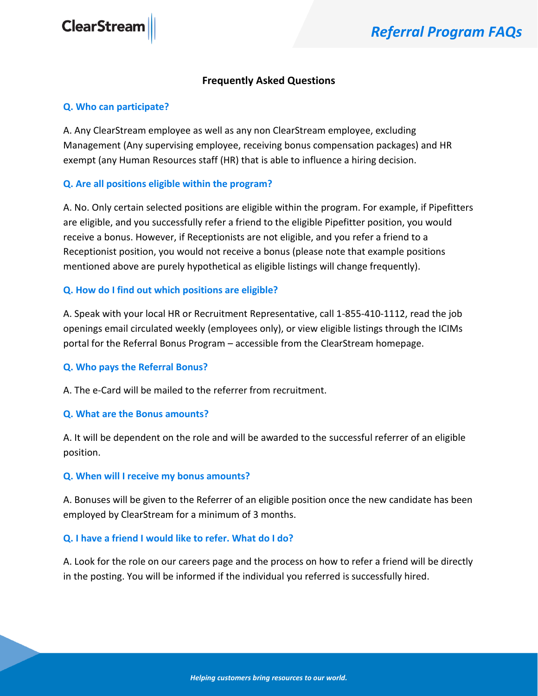# **Frequently Asked Questions**

### **Q. Who can participate?**

A. Any ClearStream employee as well as any non ClearStream employee, excluding Management (Any supervising employee, receiving bonus compensation packages) and HR exempt (any Human Resources staff (HR) that is able to influence a hiring decision.

# **Q. Are all positions eligible within the program?**

A. No. Only certain selected positions are eligible within the program. For example, if Pipefitters are eligible, and you successfully refer a friend to the eligible Pipefitter position, you would receive a bonus. However, if Receptionists are not eligible, and you refer a friend to a Receptionist position, you would not receive a bonus (please note that example positions mentioned above are purely hypothetical as eligible listings will change frequently).

## **Q. How do I find out which positions are eligible?**

A. Speak with your local HR or Recruitment Representative, call 1-855-410-1112, read the job openings email circulated weekly (employees only), or view eligible listings through the ICIMs portal for the Referral Bonus Program – accessible from the ClearStream homepage.

## **Q. Who pays the Referral Bonus?**

A. The e-Card will be mailed to the referrer from recruitment.

#### **Q. What are the Bonus amounts?**

A. It will be dependent on the role and will be awarded to the successful referrer of an eligible position.

#### **Q. When will I receive my bonus amounts?**

A. Bonuses will be given to the Referrer of an eligible position once the new candidate has been employed by ClearStream for a minimum of 3 months.

## **Q. I have a friend I would like to refer. What do I do?**

A. Look for the role on our careers page and the process on how to refer a friend will be directly in the posting. You will be informed if the individual you referred is successfully hired.